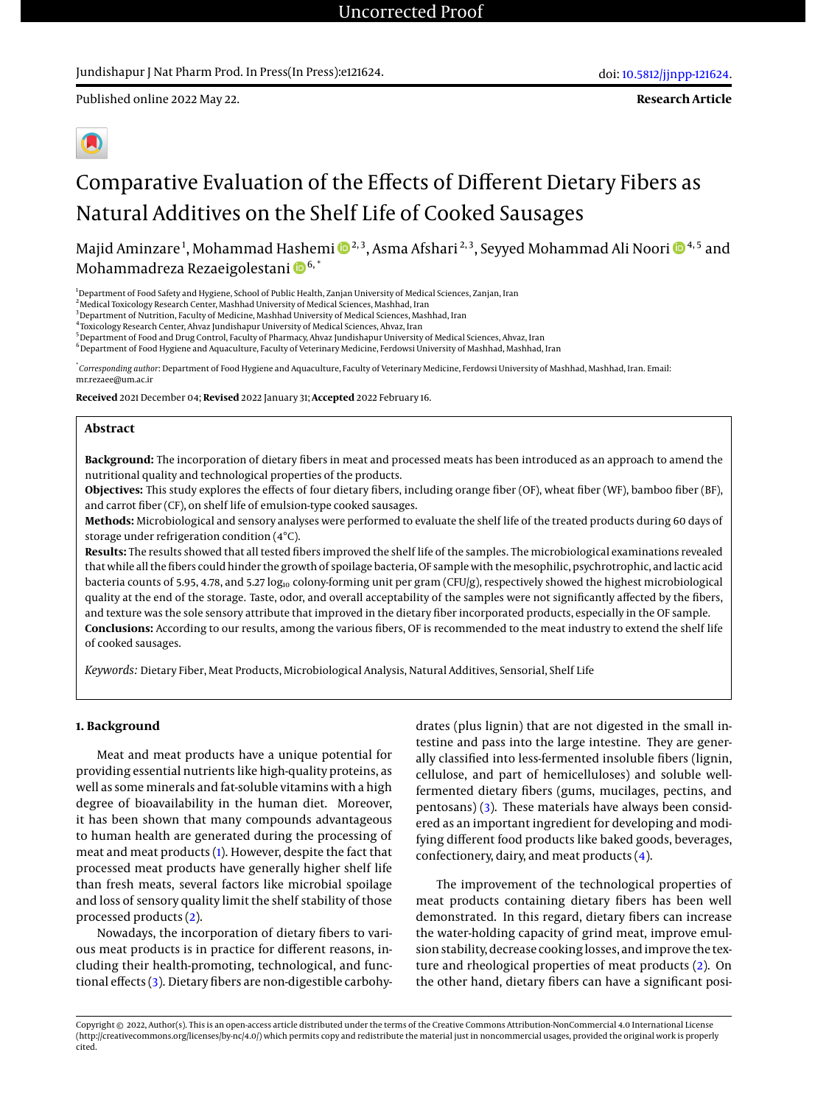### Jundishapur J Nat Pharm Prod. In Press(In Press):e121624.

**Research Article**



# Comparative Evaluation of the Effects of Different Dietary Fibers as Natural Additives on the Shelf Life of Cooked Sausages

Majid Aminzare <sup>1</sup>, Mohammad Hashemi ®<sup>2,3</sup>, Asma Afshari <sup>2,3</sup>, Seyyed Mohammad Ali Noori ® <sup>4,5</sup> and Mohammadreza Rezaeigolestani <sup>16,\*</sup>

<sup>1</sup>Department of Food Safety and Hygiene, School of Public Health, Zanjan University of Medical Sciences, Zanjan, Iran

<sup>2</sup> Medical Toxicology Research Center, Mashhad University of Medical Sciences, Mashhad, Iran

<sup>3</sup> Department of Nutrition, Faculty of Medicine, Mashhad University of Medical Sciences, Mashhad, Iran

4 Toxicology Research Center, Ahvaz Jundishapur University of Medical Sciences, Ahvaz, Iran

<sup>5</sup>Department of Food and Drug Control, Faculty of Pharmacy, Ahvaz Jundishapur University of Medical Sciences, Ahvaz, Iran <sup>6</sup> Department of Food Hygiene and Aquaculture, Faculty of Veterinary Medicine, Ferdowsi University of Mashhad, Mashhad, Iran

\* *Corresponding author*: Department of Food Hygiene and Aquaculture, Faculty of Veterinary Medicine, Ferdowsi University of Mashhad, Mashhad, Iran. Email: mr.rezaee@um.ac.ir

**Received** 2021 December 04; **Revised** 2022 January 31; **Accepted** 2022 February 16.

#### **Abstract**

**Background:** The incorporation of dietary fibers in meat and processed meats has been introduced as an approach to amend the nutritional quality and technological properties of the products.

**Objectives:** This study explores the effects of four dietary fibers, including orange fiber (OF), wheat fiber (WF), bamboo fiber (BF), and carrot fiber (CF), on shelf life of emulsion-type cooked sausages.

**Methods:** Microbiological and sensory analyses were performed to evaluate the shelf life of the treated products during 60 days of storage under refrigeration condition (4°C).

**Results:** The results showed that all tested fibers improved the shelf life of the samples. The microbiological examinations revealed that while all the fibers could hinder the growth of spoilage bacteria, OF sample with the mesophilic, psychrotrophic, and lactic acid bacteria counts of 5.95, 4.78, and 5.27 log<sub>10</sub> colony-forming unit per gram (CFU/g), respectively showed the highest microbiological quality at the end of the storage. Taste, odor, and overall acceptability of the samples were not significantly affected by the fibers, and texture was the sole sensory attribute that improved in the dietary fiber incorporated products, especially in the OF sample. **Conclusions:** According to our results, among the various fibers, OF is recommended to the meat industry to extend the shelf life of cooked sausages.

*Keywords:* Dietary Fiber, Meat Products, Microbiological Analysis, Natural Additives, Sensorial, Shelf Life

#### **1. Background**

Meat and meat products have a unique potential for providing essential nutrients like high-quality proteins, as well as some minerals and fat-soluble vitamins with a high degree of bioavailability in the human diet. Moreover, it has been shown that many compounds advantageous to human health are generated during the processing of meat and meat products [\(1\)](#page-4-0). However, despite the fact that processed meat products have generally higher shelf life than fresh meats, several factors like microbial spoilage and loss of sensory quality limit the shelf stability of those processed products [\(2\)](#page-5-0).

Nowadays, the incorporation of dietary fibers to various meat products is in practice for different reasons, including their health-promoting, technological, and functional effects [\(3\)](#page-5-1). Dietary fibers are non-digestible carbohy-

drates (plus lignin) that are not digested in the small intestine and pass into the large intestine. They are generally classified into less-fermented insoluble fibers (lignin, cellulose, and part of hemicelluloses) and soluble wellfermented dietary fibers (gums, mucilages, pectins, and pentosans) [\(3\)](#page-5-1). These materials have always been considered as an important ingredient for developing and modifying different food products like baked goods, beverages, confectionery, dairy, and meat products [\(4\)](#page-5-2).

The improvement of the technological properties of meat products containing dietary fibers has been well demonstrated. In this regard, dietary fibers can increase the water-holding capacity of grind meat, improve emulsion stability, decrease cooking losses, and improve the texture and rheological properties of meat products [\(2\)](#page-5-0). On the other hand, dietary fibers can have a significant posi-

Copyright © 2022, Author(s). This is an open-access article distributed under the terms of the Creative Commons Attribution-NonCommercial 4.0 International License (http://creativecommons.org/licenses/by-nc/4.0/) which permits copy and redistribute the material just in noncommercial usages, provided the original work is properly cited.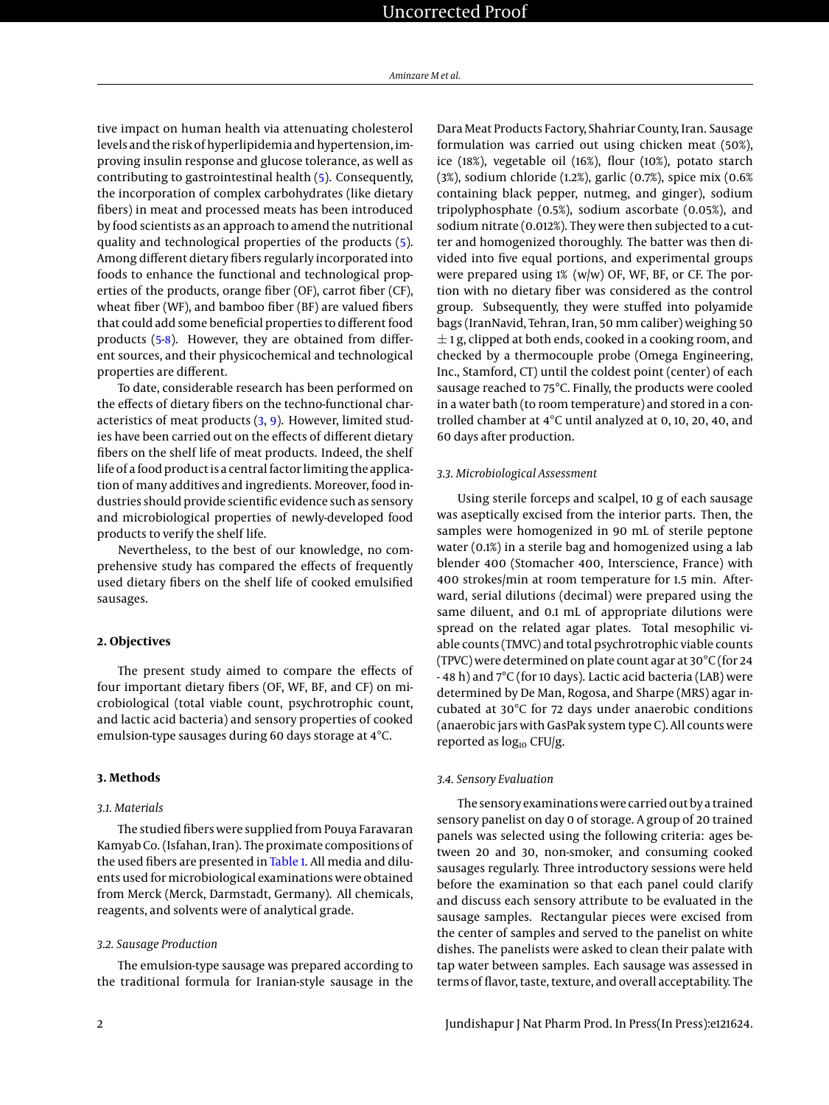tive impact on human health via attenuating cholesterol levels and the risk of hyperlipidemia and hypertension, improving insulin response and glucose tolerance, as well as contributing to gastrointestinal health [\(5\)](#page-5-3). Consequently, the incorporation of complex carbohydrates (like dietary fibers) in meat and processed meats has been introduced by food scientists as an approach to amend the nutritional quality and technological properties of the products [\(5\)](#page-5-3). Among different dietary fibers regularly incorporated into foods to enhance the functional and technological properties of the products, orange fiber (OF), carrot fiber (CF), wheat fiber (WF), and bamboo fiber (BF) are valued fibers that could add some beneficial properties to different food products [\(5-](#page-5-3)[8\)](#page-5-4). However, they are obtained from different sources, and their physicochemical and technological properties are different.

To date, considerable research has been performed on the effects of dietary fibers on the techno-functional characteristics of meat products [\(3,](#page-5-1) [9\)](#page-5-5). However, limited studies have been carried out on the effects of different dietary fibers on the shelf life of meat products. Indeed, the shelf life of a food product is a central factor limiting the application of many additives and ingredients. Moreover, food industries should provide scientific evidence such as sensory and microbiological properties of newly-developed food products to verify the shelf life.

Nevertheless, to the best of our knowledge, no comprehensive study has compared the effects of frequently used dietary fibers on the shelf life of cooked emulsified sausages.

#### **2. Objectives**

The present study aimed to compare the effects of four important dietary fibers (OF, WF, BF, and CF) on microbiological (total viable count, psychrotrophic count, and lactic acid bacteria) and sensory properties of cooked emulsion-type sausages during 60 days storage at 4°C.

#### **3. Methods**

#### *3.1. Materials*

The studied fibers were supplied from Pouya Faravaran Kamyab Co. (Isfahan, Iran). The proximate compositions of the used fibers are presented in [Table 1.](#page-2-0) All media and diluents used for microbiological examinations were obtained from Merck (Merck, Darmstadt, Germany). All chemicals, reagents, and solvents were of analytical grade.

#### *3.2. Sausage Production*

The emulsion-type sausage was prepared according to the traditional formula for Iranian-style sausage in the Dara Meat Products Factory, Shahriar County, Iran. Sausage formulation was carried out using chicken meat (50%), ice (18%), vegetable oil (16%), flour (10%), potato starch (3%), sodium chloride (1.2%), garlic (0.7%), spice mix (0.6% containing black pepper, nutmeg, and ginger), sodium tripolyphosphate (0.5%), sodium ascorbate (0.05%), and sodium nitrate (0.012%). They were then subjected to a cutter and homogenized thoroughly. The batter was then divided into five equal portions, and experimental groups were prepared using 1% (w/w) OF, WF, BF, or CF. The portion with no dietary fiber was considered as the control group. Subsequently, they were stuffed into polyamide bags (IranNavid, Tehran, Iran, 50 mm caliber) weighing 50  $\pm$  1 g, clipped at both ends, cooked in a cooking room, and checked by a thermocouple probe (Omega Engineering, Inc., Stamford, CT) until the coldest point (center) of each sausage reached to 75°C. Finally, the products were cooled in a water bath (to room temperature) and stored in a controlled chamber at 4°C until analyzed at 0, 10, 20, 40, and 60 days after production.

#### *3.3. Microbiological Assessment*

Using sterile forceps and scalpel, 10 g of each sausage was aseptically excised from the interior parts. Then, the samples were homogenized in 90 mL of sterile peptone water (0.1%) in a sterile bag and homogenized using a lab blender 400 (Stomacher 400, Interscience, France) with 400 strokes/min at room temperature for 1.5 min. Afterward, serial dilutions (decimal) were prepared using the same diluent, and 0.1 mL of appropriate dilutions were spread on the related agar plates. Total mesophilic viable counts (TMVC) and total psychrotrophic viable counts (TPVC) were determined on plate count agar at 30°C (for 24 - 48 h) and 7°C (for 10 days). Lactic acid bacteria (LAB) were determined by De Man, Rogosa, and Sharpe (MRS) agar incubated at 30°C for 72 days under anaerobic conditions (anaerobic jars with GasPak system type C). All counts were reported as  $log_{10}$  CFU/g.

#### *3.4. Sensory Evaluation*

The sensory examinations were carried out by a trained sensory panelist on day 0 of storage. A group of 20 trained panels was selected using the following criteria: ages between 20 and 30, non-smoker, and consuming cooked sausages regularly. Three introductory sessions were held before the examination so that each panel could clarify and discuss each sensory attribute to be evaluated in the sausage samples. Rectangular pieces were excised from the center of samples and served to the panelist on white dishes. The panelists were asked to clean their palate with tap water between samples. Each sausage was assessed in terms of flavor, taste, texture, and overall acceptability. The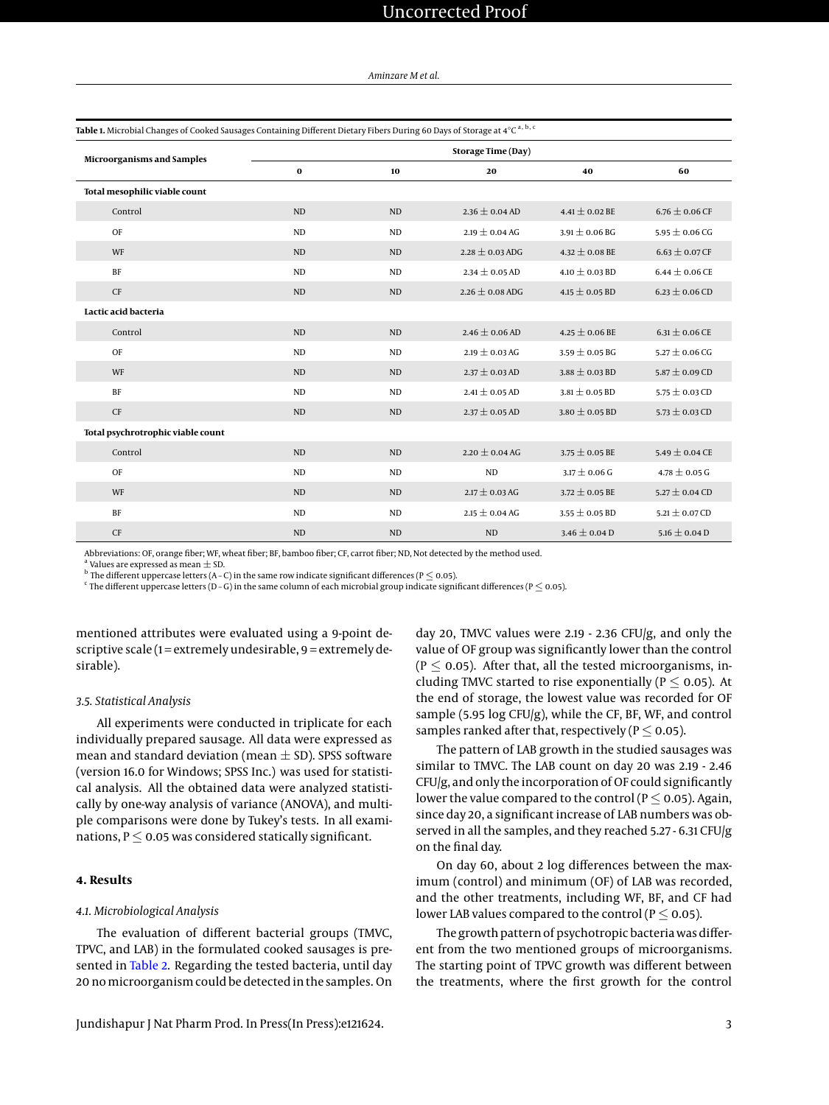*Aminzare M et al.*

<span id="page-2-0"></span>

| Table 1. Microbial Changes of Cooked Sausages Containing Different Dietary Fibers During 60 Days of Storage at 4°C <sup>a, b, c</sup> |                           |           |                     |                    |                    |  |  |  |
|---------------------------------------------------------------------------------------------------------------------------------------|---------------------------|-----------|---------------------|--------------------|--------------------|--|--|--|
| <b>Microorganisms and Samples</b>                                                                                                     | <b>Storage Time (Day)</b> |           |                     |                    |                    |  |  |  |
|                                                                                                                                       | $\mathbf 0$               | 10        | 20                  | 40                 | 60                 |  |  |  |
| Total mesophilic viable count                                                                                                         |                           |           |                     |                    |                    |  |  |  |
| Control                                                                                                                               | <b>ND</b>                 | <b>ND</b> | $2.36 \pm 0.04$ AD  | 4.41 $\pm$ 0.02 BE | 6.76 $\pm$ 0.06 CF |  |  |  |
| OF                                                                                                                                    | <b>ND</b>                 | <b>ND</b> | $2.19 \pm 0.04$ AG  | $3.91 \pm 0.06$ BG | 5.95 $\pm$ 0.06 CG |  |  |  |
| WF                                                                                                                                    | <b>ND</b>                 | <b>ND</b> | $2.28 \pm 0.03$ ADG | $4.32 \pm 0.08$ BE | $6.63 \pm 0.07$ CF |  |  |  |
| BF                                                                                                                                    | N <sub>D</sub>            | <b>ND</b> | $2.34 \pm 0.05$ AD  | $4.10 \pm 0.03$ BD | $6.44 \pm 0.06$ CE |  |  |  |
| CF                                                                                                                                    | <b>ND</b>                 | <b>ND</b> | 2.26 $\pm$ 0.08 ADG | 4.15 $\pm$ 0.05 BD | 6.23 $\pm$ 0.06 CD |  |  |  |
| Lactic acid bacteria                                                                                                                  |                           |           |                     |                    |                    |  |  |  |
| Control                                                                                                                               | <b>ND</b>                 | <b>ND</b> | $2.46 \pm 0.06$ AD  | $4.25 \pm 0.06$ BE | 6.31 $\pm$ 0.06 CE |  |  |  |
| OF                                                                                                                                    | <b>ND</b>                 | <b>ND</b> | 2.19 $\pm$ 0.03 AG  | 3.59 $\pm$ 0.05 BG | 5.27 $\pm$ 0.06 CG |  |  |  |
| WF                                                                                                                                    | <b>ND</b>                 | <b>ND</b> | $2.37 \pm 0.03$ AD  | $3.88 \pm 0.03$ BD | 5.87 $\pm$ 0.09 CD |  |  |  |
| BF                                                                                                                                    | <b>ND</b>                 | <b>ND</b> | $2.41 \pm 0.05$ AD  | $3.81 \pm 0.05$ BD | 5.75 $\pm$ 0.03 CD |  |  |  |
| CF                                                                                                                                    | ND                        | <b>ND</b> | $2.37 \pm 0.05$ AD  | $3.80 \pm 0.05$ BD | 5.73 $\pm$ 0.03 CD |  |  |  |
| Total psychrotrophic viable count                                                                                                     |                           |           |                     |                    |                    |  |  |  |
| Control                                                                                                                               | <b>ND</b>                 | <b>ND</b> | $2.20 \pm 0.04$ AG  | 3.75 $\pm$ 0.05 BE | 5.49 $\pm$ 0.04 CE |  |  |  |
| OF                                                                                                                                    | <b>ND</b>                 | <b>ND</b> | ND                  | $3.17 \pm 0.06$ G  | 4.78 $\pm$ 0.05 G  |  |  |  |
| WF                                                                                                                                    | <b>ND</b>                 | <b>ND</b> | $2.17 \pm 0.03$ AG  | 3.72 $\pm$ 0.05 BE | 5.27 $\pm$ 0.04 CD |  |  |  |
| BF                                                                                                                                    | <b>ND</b>                 | <b>ND</b> | $2.15 \pm 0.04$ AG  | 3.55 $\pm$ 0.05 BD | 5.21 $\pm$ 0.07 CD |  |  |  |
| <b>CF</b>                                                                                                                             | <b>ND</b>                 | <b>ND</b> | ND                  | $3.46 \pm 0.04$ D  | 5.16 $\pm$ 0.04 D  |  |  |  |

Abbreviations: OF, orange fiber; WF, wheat fiber; BF, bamboo fiber; CF, carrot fiber; ND, Not detected by the method used.

 $^{\rm a}$  Values are expressed as mean  $\pm$  SD.

 $^{\rm b}$  The different uppercase letters (A - C) in the same row indicate significant differences (P  $\leq$  0.05).

<sup>c</sup> The different uppercase letters (D – G) in the same column of each microbial group indicate significant differences (P  $\leq$  0.05).

mentioned attributes were evaluated using a 9-point descriptive scale ( $1 =$ extremely undesirable,  $9 =$ extremely desirable).

#### *3.5. Statistical Analysis*

All experiments were conducted in triplicate for each individually prepared sausage. All data were expressed as mean and standard deviation (mean  $\pm$  SD). SPSS software (version 16.0 for Windows; SPSS Inc.) was used for statistical analysis. All the obtained data were analyzed statistically by one-way analysis of variance (ANOVA), and multiple comparisons were done by Tukey's tests. In all examinations,  $P \le 0.05$  was considered statically significant.

#### **4. Results**

#### *4.1. Microbiological Analysis*

The evaluation of different bacterial groups (TMVC, TPVC, and LAB) in the formulated cooked sausages is pre-sented in [Table 2.](#page-3-0) Regarding the tested bacteria, until day 20 no microorganism could be detected in the samples. On

day 20, TMVC values were 2.19 - 2.36 CFU/g, and only the value of OF group was significantly lower than the control  $(P \le 0.05)$ . After that, all the tested microorganisms, including TMVC started to rise exponentially ( $P \le 0.05$ ). At the end of storage, the lowest value was recorded for OF sample (5.95 log CFU/g), while the CF, BF, WF, and control samples ranked after that, respectively ( $P \le 0.05$ ).

The pattern of LAB growth in the studied sausages was similar to TMVC. The LAB count on day 20 was 2.19 - 2.46 CFU/g, and only the incorporation of OF could significantly lower the value compared to the control ( $P \le 0.05$ ). Again, since day 20, a significant increase of LAB numbers was observed in all the samples, and they reached 5.27 - 6.31 CFU/g on the final day.

On day 60, about 2 log differences between the maximum (control) and minimum (OF) of LAB was recorded, and the other treatments, including WF, BF, and CF had lower LAB values compared to the control ( $P \le 0.05$ ).

The growth pattern of psychotropic bacteria was different from the two mentioned groups of microorganisms. The starting point of TPVC growth was different between the treatments, where the first growth for the control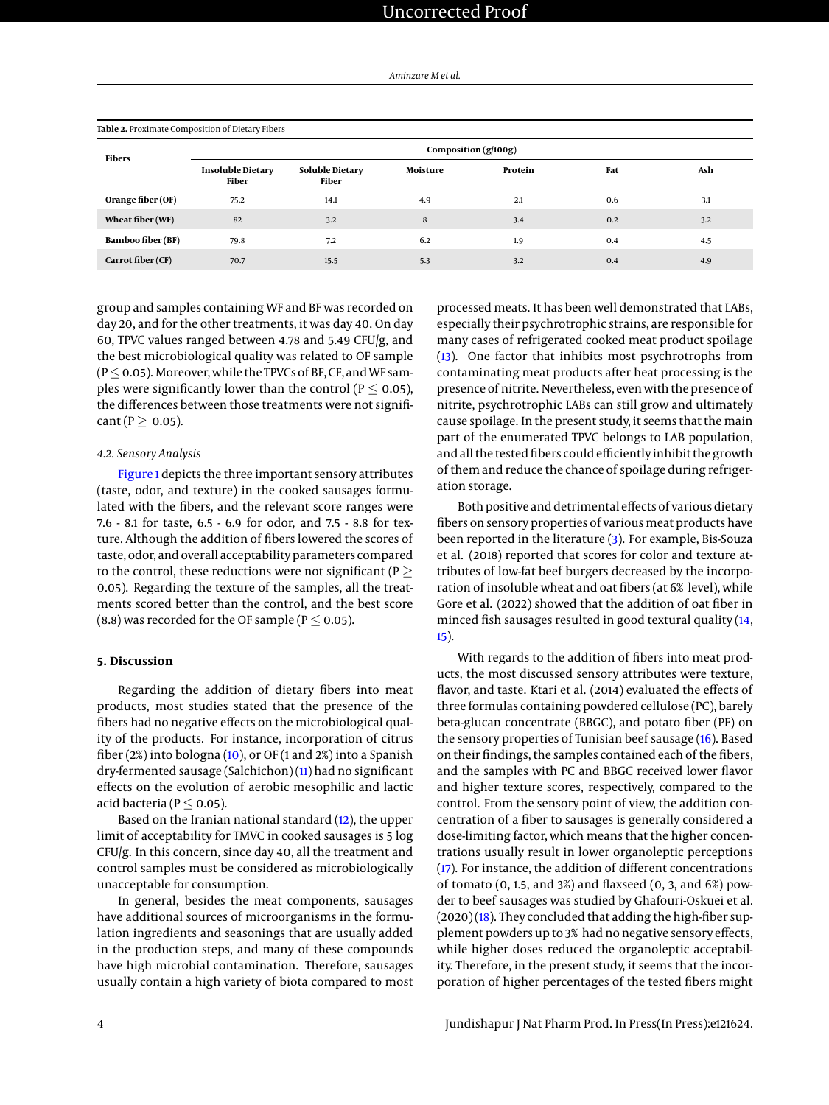*Aminzare M et al.*

<span id="page-3-0"></span>

| Table 2. Proximate Composition of Dietary Fibers |                                   |                                 |          |         |     |     |  |  |  |
|--------------------------------------------------|-----------------------------------|---------------------------------|----------|---------|-----|-----|--|--|--|
| <b>Fibers</b>                                    | Composition (g/100g)              |                                 |          |         |     |     |  |  |  |
|                                                  | <b>Insoluble Dietary</b><br>Fiber | <b>Soluble Dietary</b><br>Fiber | Moisture | Protein | Fat | Ash |  |  |  |
| Orange fiber (OF)                                | 75.2                              | 14.1                            | 4.9      | 2.1     | 0.6 | 3.1 |  |  |  |
| Wheat fiber (WF)                                 | 82                                | 3.2                             | 8        | 3.4     | 0.2 | 3.2 |  |  |  |
| <b>Bamboo fiber (BF)</b>                         | 79.8                              | 7.2                             | 6.2      | 1.9     | 0.4 | 4.5 |  |  |  |
| Carrot fiber (CF)                                | 70.7                              | 15.5                            | 5.3      | 3.2     | 0.4 | 4.9 |  |  |  |

group and samples containing WF and BF was recorded on day 20, and for the other treatments, it was day 40. On day 60, TPVC values ranged between 4.78 and 5.49 CFU/g, and the best microbiological quality was related to OF sample ( $P \le 0.05$ ). Moreover, while the TPVCs of BF, CF, and WF samples were significantly lower than the control ( $P \le 0.05$ ), the differences between those treatments were not signifi $cant (P > 0.05)$ .

#### *4.2. Sensory Analysis*

[Figure 1](#page-4-1) depicts the three important sensory attributes (taste, odor, and texture) in the cooked sausages formulated with the fibers, and the relevant score ranges were 7.6 - 8.1 for taste, 6.5 - 6.9 for odor, and 7.5 - 8.8 for texture. Although the addition of fibers lowered the scores of taste, odor, and overall acceptability parameters compared to the control, these reductions were not significant ( $P >$ 0.05). Regarding the texture of the samples, all the treatments scored better than the control, and the best score (8.8) was recorded for the OF sample ( $P \le 0.05$ ).

#### **5. Discussion**

Regarding the addition of dietary fibers into meat products, most studies stated that the presence of the fibers had no negative effects on the microbiological quality of the products. For instance, incorporation of citrus fiber (2%) into bologna [\(10\)](#page-5-6), or OF (1 and 2%) into a Spanish dry-fermented sausage (Salchichon) [\(11\)](#page-5-7) had no significant effects on the evolution of aerobic mesophilic and lactic acid bacteria ( $P \le 0.05$ ).

Based on the Iranian national standard [\(12\)](#page-5-8), the upper limit of acceptability for TMVC in cooked sausages is 5 log CFU/g. In this concern, since day 40, all the treatment and control samples must be considered as microbiologically unacceptable for consumption.

In general, besides the meat components, sausages have additional sources of microorganisms in the formulation ingredients and seasonings that are usually added in the production steps, and many of these compounds have high microbial contamination. Therefore, sausages usually contain a high variety of biota compared to most processed meats. It has been well demonstrated that LABs, especially their psychrotrophic strains, are responsible for many cases of refrigerated cooked meat product spoilage [\(13\)](#page-5-9). One factor that inhibits most psychrotrophs from contaminating meat products after heat processing is the presence of nitrite. Nevertheless, even with the presence of nitrite, psychrotrophic LABs can still grow and ultimately cause spoilage. In the present study, it seems that the main part of the enumerated TPVC belongs to LAB population, and all the tested fibers could efficiently inhibit the growth of them and reduce the chance of spoilage during refrigeration storage.

Both positive and detrimental effects of various dietary fibers on sensory properties of various meat products have been reported in the literature [\(3\)](#page-5-1). For example, Bis-Souza et al. (2018) reported that scores for color and texture attributes of low-fat beef burgers decreased by the incorporation of insoluble wheat and oat fibers (at 6% level), while Gore et al. (2022) showed that the addition of oat fiber in minced fish sausages resulted in good textural quality [\(14,](#page-5-10) [15\)](#page-5-11).

With regards to the addition of fibers into meat products, the most discussed sensory attributes were texture, flavor, and taste. Ktari et al. (2014) evaluated the effects of three formulas containing powdered cellulose (PC), barely beta-glucan concentrate (BBGC), and potato fiber (PF) on the sensory properties of Tunisian beef sausage [\(16\)](#page-5-12). Based on their findings, the samples contained each of the fibers, and the samples with PC and BBGC received lower flavor and higher texture scores, respectively, compared to the control. From the sensory point of view, the addition concentration of a fiber to sausages is generally considered a dose-limiting factor, which means that the higher concentrations usually result in lower organoleptic perceptions [\(17\)](#page-5-13). For instance, the addition of different concentrations of tomato (0, 1.5, and 3%) and flaxseed (0, 3, and 6%) powder to beef sausages was studied by Ghafouri-Oskuei et al.  $(2020)(18)$  $(2020)(18)$ . They concluded that adding the high-fiber supplement powders up to 3% had no negative sensory effects, while higher doses reduced the organoleptic acceptability. Therefore, in the present study, it seems that the incorporation of higher percentages of the tested fibers might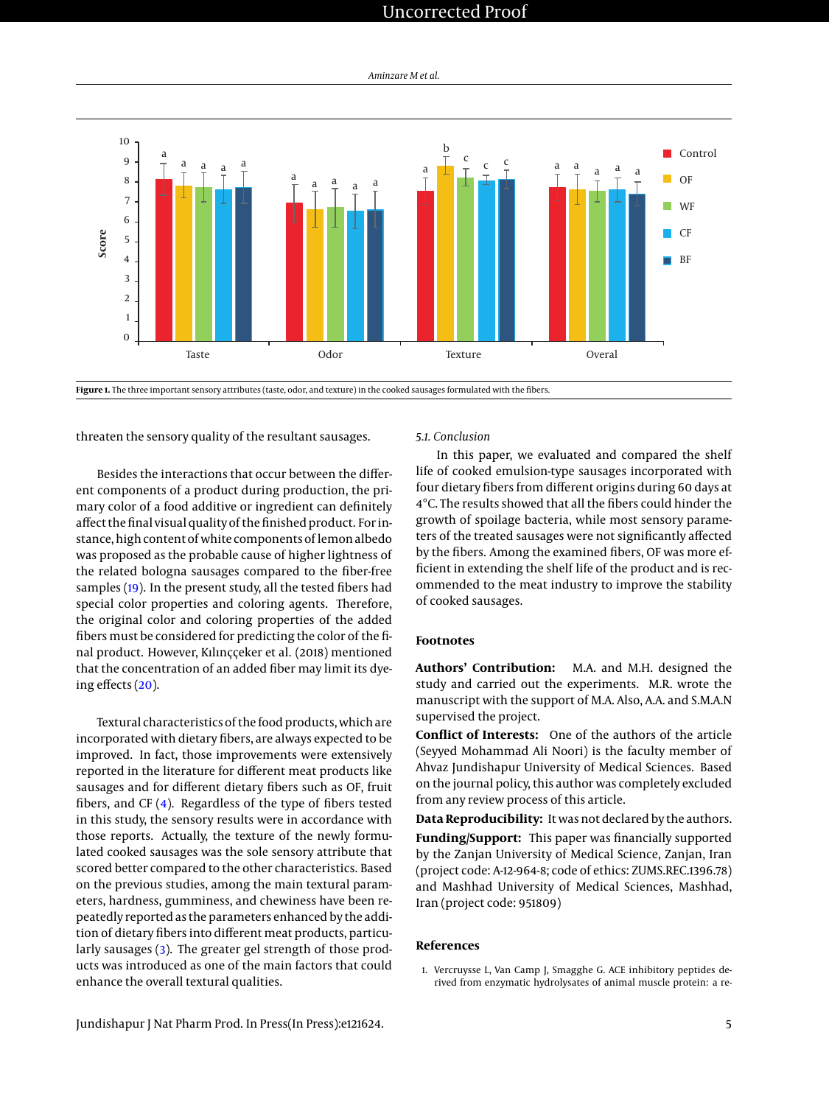## Uncorrected Proof

*Aminzare M et al.*

<span id="page-4-1"></span>

Figure 1. The three important sensory attributes (taste, odor, and texture) in the cooked sausages formulated with the fibers.

threaten the sensory quality of the resultant sausages.

Besides the interactions that occur between the different components of a product during production, the primary color of a food additive or ingredient can definitely affect the final visual quality of the finished product. For instance, high content of white components of lemon albedo was proposed as the probable cause of higher lightness of the related bologna sausages compared to the fiber-free samples [\(19\)](#page-5-15). In the present study, all the tested fibers had special color properties and coloring agents. Therefore, the original color and coloring properties of the added fibers must be considered for predicting the color of the final product. However, Kılınççeker et al. (2018) mentioned that the concentration of an added fiber may limit its dyeing effects [\(20\)](#page-5-16).

Textural characteristics of the food products, which are incorporated with dietary fibers, are always expected to be improved. In fact, those improvements were extensively reported in the literature for different meat products like sausages and for different dietary fibers such as OF, fruit fibers, and CF [\(4\)](#page-5-2). Regardless of the type of fibers tested in this study, the sensory results were in accordance with those reports. Actually, the texture of the newly formulated cooked sausages was the sole sensory attribute that scored better compared to the other characteristics. Based on the previous studies, among the main textural parameters, hardness, gumminess, and chewiness have been repeatedly reported as the parameters enhanced by the addition of dietary fibers into different meat products, particularly sausages [\(3\)](#page-5-1). The greater gel strength of those products was introduced as one of the main factors that could enhance the overall textural qualities.

*5.1. Conclusion*

In this paper, we evaluated and compared the shelf life of cooked emulsion-type sausages incorporated with four dietary fibers from different origins during 60 days at 4°C. The results showed that all the fibers could hinder the growth of spoilage bacteria, while most sensory parameters of the treated sausages were not significantly affected by the fibers. Among the examined fibers, OF was more efficient in extending the shelf life of the product and is recommended to the meat industry to improve the stability of cooked sausages.

#### **Footnotes**

**Authors' Contribution:** M.A. and M.H. designed the study and carried out the experiments. M.R. wrote the manuscript with the support of M.A. Also, A.A. and S.M.A.N supervised the project.

**Conflict of Interests:** One of the authors of the article (Seyyed Mohammad Ali Noori) is the faculty member of Ahvaz Jundishapur University of Medical Sciences. Based on the journal policy, this author was completely excluded from any review process of this article.

**Data Reproducibility:** It was not declared by the authors. **Funding/Support:** This paper was financially supported by the Zanjan University of Medical Science, Zanjan, Iran (project code: A-12-964-8; code of ethics: ZUMS.REC.1396.78) and Mashhad University of Medical Sciences, Mashhad, Iran (project code: 951809)

#### **References**

<span id="page-4-0"></span>1. Vercruysse L, Van Camp J, Smagghe G. ACE inhibitory peptides derived from enzymatic hydrolysates of animal muscle protein: a re